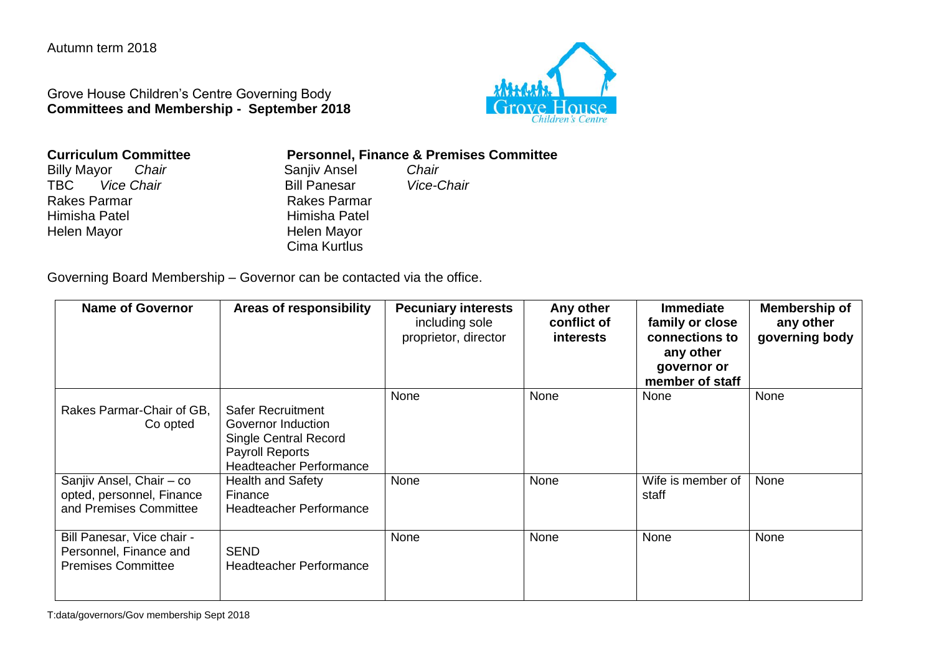Autumn term 2018

Grove House Children's Centre Governing Body **Committees and Membership - September 2018**



| <b>Curriculum Committee</b> |       |  |
|-----------------------------|-------|--|
| <b>Billy Mayor</b>          | Chair |  |

TBC *Vice Chair* Bill Panesar *Vice-Chair* Himisha Patel **Himisha Patel**<br>Helen Mayor **Helen Mayor** Helen Mayor

**Personnel, Finance & Premises Committee**<br>Saniiv Ansel **Chair** 

Billy Mayor *Chair* Sanjiv Ansel *Chair* Rakes Parmar Cima Kurtlus

Governing Board Membership – Governor can be contacted via the office.

| <b>Name of Governor</b>                                                           | <b>Areas of responsibility</b>                                                                                               | <b>Pecuniary interests</b><br>including sole<br>proprietor, director | Any other<br>conflict of<br>interests | <b>Immediate</b><br>family or close<br>connections to<br>any other<br>governor or<br>member of staff | Membership of<br>any other<br>governing body |
|-----------------------------------------------------------------------------------|------------------------------------------------------------------------------------------------------------------------------|----------------------------------------------------------------------|---------------------------------------|------------------------------------------------------------------------------------------------------|----------------------------------------------|
| Rakes Parmar-Chair of GB.<br>Co opted                                             | <b>Safer Recruitment</b><br>Governor Induction<br><b>Single Central Record</b><br>Payroll Reports<br>Headteacher Performance | None                                                                 | None                                  | None                                                                                                 | None                                         |
| Sanjiv Ansel, Chair - co<br>opted, personnel, Finance<br>and Premises Committee   | <b>Health and Safety</b><br>Finance<br><b>Headteacher Performance</b>                                                        | None                                                                 | None                                  | Wife is member of<br>staff                                                                           | None                                         |
| Bill Panesar, Vice chair -<br>Personnel, Finance and<br><b>Premises Committee</b> | <b>SEND</b><br><b>Headteacher Performance</b>                                                                                | None                                                                 | None                                  | None                                                                                                 | None                                         |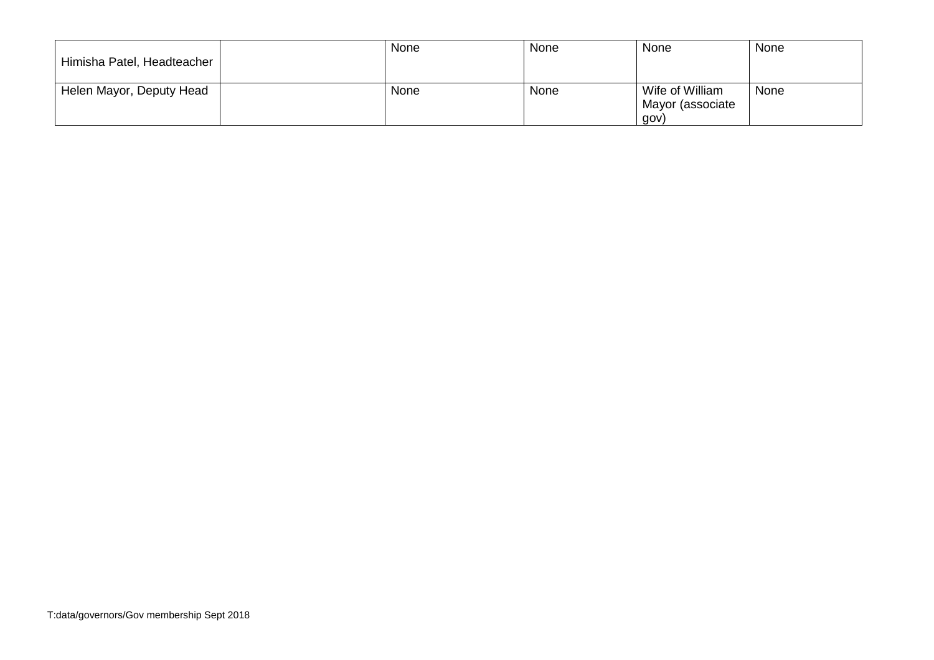| Himisha Patel, Headteacher | None | <b>None</b> | None                                        | None |
|----------------------------|------|-------------|---------------------------------------------|------|
| Helen Mayor, Deputy Head   | None | None        | Wife of William<br>Mayor (associate<br>gov) | None |